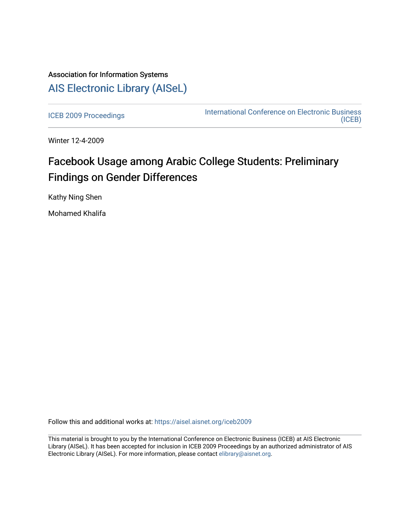## Association for Information Systems [AIS Electronic Library \(AISeL\)](https://aisel.aisnet.org/)

[ICEB 2009 Proceedings](https://aisel.aisnet.org/iceb2009) **International Conference on Electronic Business** [\(ICEB\)](https://aisel.aisnet.org/iceb) 

Winter 12-4-2009

# Facebook Usage among Arabic College Students: Preliminary Findings on Gender Differences

Kathy Ning Shen

Mohamed Khalifa

Follow this and additional works at: [https://aisel.aisnet.org/iceb2009](https://aisel.aisnet.org/iceb2009?utm_source=aisel.aisnet.org%2Ficeb2009%2F145&utm_medium=PDF&utm_campaign=PDFCoverPages)

This material is brought to you by the International Conference on Electronic Business (ICEB) at AIS Electronic Library (AISeL). It has been accepted for inclusion in ICEB 2009 Proceedings by an authorized administrator of AIS Electronic Library (AISeL). For more information, please contact [elibrary@aisnet.org.](mailto:elibrary@aisnet.org%3E)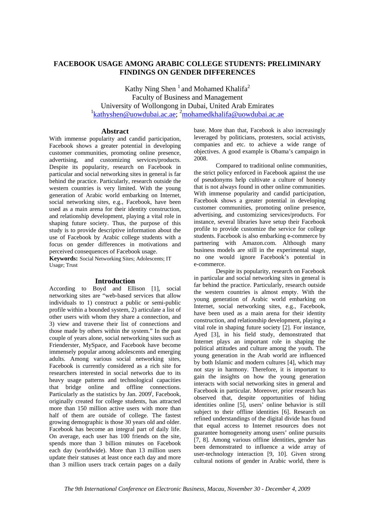## **FACEBOOK USAGE AMONG ARABIC COLLEGE STUDENTS: PRELIMINARY FINDINGS ON GENDER DIFFERENCES**

Kathy Ning Shen<sup>1</sup> and Mohamed Khalifa<sup>2</sup> Faculty of Business and Management University of Wollongong in Dubai, United Arab Emirates 1 kathyshen@uowdubai.ac.ae; 2 mohamedkhalifa@uowdubai.ac.ae

## **Abstract**

With immense popularity and candid participation, Facebook shows a greater potential in developing customer communities, promoting online presence, advertising, and customizing services/products. Despite its popularity, research on Facebook in particular and social networking sites in general is far behind the practice. Particularly, research outside the western countries is very limited. With the young generation of Arabic world embarking on Internet, social networking sites, e.g., Facebook, have been used as a main arena for their identity construction, and relationship development, playing a vital role in shaping future society. Thus, the purpose of this study is to provide descriptive information about the use of Facebook by Arabic college students with a focus on gender differences in motivations and perceived consequences of Facebook usage.

**Keywords:** Social Networking Sites; Adolescents; IT Usage; Trust

## **Introduction**

According to Boyd and Ellison [1], social networking sites are "web-based services that allow individuals to 1) construct a public or semi-public profile within a bounded system, 2) articulate a list of other users with whom they share a connection, and 3) view and traverse their list of connections and those made by others within the system." In the past couple of years alone, social networking sites such as Frienderster, MySpace, and Facebook have become immensely popular among adolescents and emerging adults. Among various social networking sites, Facebook is currently considered as a rich site for researchers interested in social networks due to its heavy usage patterns and technological capacities that bridge online and offline connections. Particularly as the statistics by Jan. 2009<sup>i</sup>, Facebook, originally created for college students, has attracted more than 150 million active users with more than half of them are outside of college. The fastest growing demographic is those 30 years old and older. Facebook has become an integral part of daily life. On average, each user has 100 friends on the site, spends more than 3 billion minutes on Facebook each day (worldwide). More than 13 million users update their statuses at least once each day and more than 3 million users track certain pages on a daily

base. More than that, Facebook is also increasingly leveraged by politicians, protesters, social activists, companies and etc. to achieve a wide range of objectives. A good example is Obama's campaign in 2008.

Compared to traditional online communities, the strict policy enforced in Facebook against the use of pseudonyms help cultivate a culture of honesty that is not always found in other online communities. With immense popularity and candid participation, Facebook shows a greater potential in developing customer communities, promoting online presence, advertising, and customizing services/products. For instance, several libraries have setup their Facebook profile to provide customize the service for college students. Facebook is also embarking e-commerce by partnering with Amazon.com. Although many business models are still in the experimental stage, no one would ignore Facebook's potential in e-commerce. Despite its popularity, research on Facebook

in particular and social networking sites in general is far behind the practice. Particularly, research outside the western countries is almost empty. With the young generation of Arabic world embarking on Internet, social networking sites, e.g., Facebook, have been used as a main arena for their identity construction, and relationship development, playing a vital role in shaping future society [2]. For instance, Ayed [3], in his field study, demonstrated that Internet plays an important role in shaping the political attitudes and culture among the youth. The young generation in the Arab world are influenced by both Islamic and modern cultures [4], which may not stay in harmony. Therefore, it is important to gain the insights on how the young generation interacts with social networking sites in general and Facebook in particular. Moreover, prior research has observed that, despite opportunities of hiding identities online [5], users' online behavior is still subject to their offline identities [6]. Research on refined understandings of the digital divide has found that equal access to Internet resources does not guarantee homogeneity among users' online pursuits [7, 8]. Among various offline identities, gender has been demonstrated to influence a wide array of user-technology interaction [9, 10]. Given strong cultural notions of gender in Arabic world, there is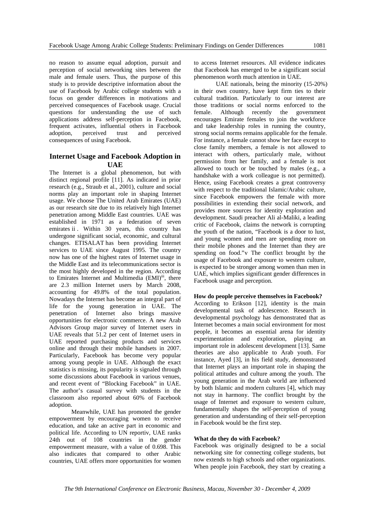no reason to assume equal adoption, pursuit and perception of social networking sites between the male and female users. Thus, the purpose of this study is to provide descriptive information about the use of Facebook by Arabic college students with a focus on gender differences in motivations and perceived consequences of Facebook usage. Crucial questions for understanding the use of such applications address self-perception in Facebook, frequent activates, influential others in Facebook adoption, perceived trust and perceived consequences of using Facebook.

## **Internet Usage and Facebook Adoption in UAE**

The Internet is a global phenomenon, but with distinct regional profile [11]. As indicated in prior research (e.g., Straub et al., 2001), culture and social norms play an important role in shaping Internet usage. We choose The United Arab Emirates (UAE) as our research site due to its relatively high Internet penetration among Middle East countries. UAE was established in 1971 as a federation of seven emirates ii . Within 30 years, this country has undergone significant social, economic, and cultural changes. ETISALAT has been providing Internet services to UAE since August 1995. The country now has one of the highest rates of Internet usage in the Middle East and its telecommunications sector is the most highly developed in the region. According to Emirates Internet and Multimedia (EMI)<sup>iii</sup>, there are 2.3 million Internet users by March 2008, accounting for 49.8% of the total population. Nowadays the Internet has become an integral part of life for the young generation in UAE. The penetration of Internet also brings massive opportunities for electronic commerce. A new Arab Advisors Group major survey of Internet users in UAE reveals that 51.2 per cent of Internet users in UAE reported purchasing products and services online and through their mobile handsets in 2007. Particularly, Facebook has become very popular among young people in UAE. Although the exact statistics is missing, its popularity is signaled through some discussions about Facebook in various venues, and recent event of "Blocking Facebook" in UAE. The author's casual survey with students in the classroom also reported about 60% of Facebook adoption.

Meanwhile, UAE has promoted the gender empowerment by encouraging women to receive education, and take an active part in economic and political life. According to UN reportiv, UAE ranks 24th out of 108 countries in the gender empowerment measure, with a value of 0.698. This also indicates that compared to other Arabic countries, UAE offers more opportunities for women

to access Internet resources. All evidence indicates that Facebook has emerged to be a significant social phenomenon worth much attention in UAE.

UAE nationals, being the minority (15-20%) in their own country, have kept firm ties to their cultural tradition. Particularly to our interest are those traditions or social norms enforced to the female. Although recently the government encourages Emirate females to join the workforce and take leadership roles in running the country, strong social norms remains applicable for the female. For instance, a female cannot show her face except to close family members, a female is not allowed to interact with others, particularly male, without permission from her family, and a female is not allowed to touch or be touched by males (e.g., a handshake with a work colleague is not permitted). Hence, using Facebook creates a great controversy with respect to the traditional Islamic/Arabic culture, since Facebook empowers the female with more possibilities in extending their social network, and provides more sources for identity exploration and development. Saudi preacher Ali al-Maliki, a leading critic of Facebook, claims the network is corrupting the youth of the nation, "Facebook is a door to lust, and young women and men are spending more on their mobile phones and the Internet than they are spending on food."v The conflict brought by the usage of Facebook and exposure to western culture, is expected to be stronger among women than men in UAE, which implies significant gender differences in Facebook usage and perception.

#### **How do people perceive themselves in Facebook?**

According to Erikson [12], identity is the main developmental task of adolescence. Research in developmental psychology has demonstrated that as Internet becomes a main social environment for most people, it becomes an essential arena for identity experimentation and exploration, playing an important role in adolescent development [13]. Same theories are also applicable to Arab youth. For instance, Ayed [3], in his field study, demonstrated that Internet plays an important role in shaping the political attitudes and culture among the youth. The young generation in the Arab world are influenced by both Islamic and modern cultures [4], which may not stay in harmony. The conflict brought by the usage of Internet and exposure to western culture, fundamentally shapes the self-perception of young generation and understanding of their self-perception in Facebook would be the first step.

## **What do they do with Facebook?**

Facebook was originally designed to be a social networking site for connecting college students, but now extends to high schools and other organizations. When people join Facebook, they start by creating a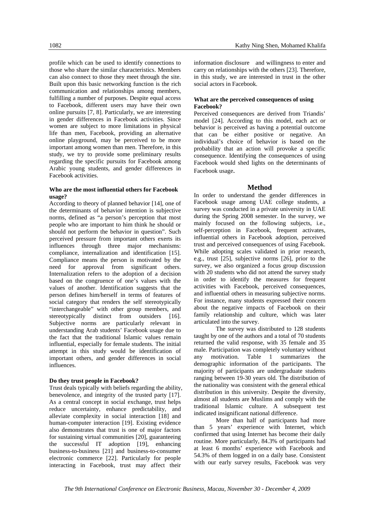profile which can be used to identify connections to those who share the similar characteristics. Members can also connect to those they meet through the site. Built upon this basic networking function is the rich communication and relationships among members, fulfilling a number of purposes. Despite equal access to Facebook, different users may have their own online pursuits [7, 8]. Particularly, we are interesting in gender differences in Facebook activities. Since women are subject to more limitations in physical life than men, Facebook, providing an alternative online playground, may be perceived to be more important among women than men. Therefore, in this study, we try to provide some preliminary results regarding the specific pursuits for Facebook among Arabic young students, and gender differences in Facebook activities.

## **Who are the most influential others for Facebook usage?**

According to theory of planned behavior [14], one of the determinants of behavior intention is subjective norms, defined as "a person's perception that most people who are important to him think he should or should not perform the behavior in question". Such perceived pressure from important others exerts its influences through three major mechanisms: compliance, internalization and identification [15]. Compliance means the person is motivated by the need for approval from significant others. Internalization refers to the adoption of a decision based on the congruence of one's values with the values of another. Identification suggests that the person defines him/herself in terms of features of social category that renders the self stereotypically "interchangeable" with other group members, and stereotypically distinct from outsiders [16]. Subjective norms are particularly relevant in understanding Arab students' Facebook usage due to the fact that the traditional Islamic values remain influential, especially for female students. The initial attempt in this study would be identification of important others, and gender differences in social influences.

#### **Do they trust people in Facebook?**

Trust deals typically with beliefs regarding the ability, benevolence, and integrity of the trusted party [17]. As a central concept in social exchange, trust helps reduce uncertainty, enhance predictability, and alleviate complexity in social interaction [18] and human-computer interaction [19]. Existing evidence also demonstrates that trust is one of major factors for sustaining virtual communities [20], guaranteeing the successful IT adoption [19], enhancing business-to-business [21] and business-to-consumer electronic commerce [22]. Particularly for people interacting in Facebook, trust may affect their

information disclosure and willingness to enter and carry on relationships with the others [23]. Therefore, in this study, we are interested in trust in the other social actors in Facebook.

## **What are the perceived consequences of using Facebook?**

Perceived consequences are derived from Triandis' model [24]. According to this model, each act or behavior is perceived as having a potential outcome that can be either positive or negative. An individual's choice of behavior is based on the probability that an action will provoke a specific consequence. Identifying the consequences of using Facebook would shed lights on the determinants of Facebook usage.

## **Method**

In order to understand the gender differences in Facebook usage among UAE college students, a survey was conducted in a private university in UAE during the Spring 2008 semester. In the survey, we mainly focused on the following subjects, i.e., self-perception in Facebook, frequent activates, influential others in Facebook adoption, perceived trust and perceived consequences of using Facebook. While adopting scales validated in prior research, e.g., trust [25], subjective norms [26], prior to the survey, we also organized a focus group discussion with 20 students who did not attend the survey study in order to identify the measures for frequent activities with Facebook, perceived consequences, and influential others in measuring subjective norms. For instance, many students expressed their concern about the negative impacts of Facebook on their family relationship and culture, which was later articulated into the survey.

The survey was distributed to 128 students taught by one of the authors and a total of 70 students returned the valid response, with 35 female and 35 male. Participation was completely voluntary without any motivation. Table 1 summarizes the demographic information of the participants. The majority of participants are undergraduate students ranging between 19-30 years old. The distribution of the nationality was consistent with the general ethical distribution in this university. Despite the diversity, almost all students are Muslims and comply with the traditional Islamic culture. A subsequent test indicated insignificant national difference.

More than half of participants had more than 5 years' experience with Internet, which confirmed that using Internet has become their daily routine. More particularly, 84.3% of participants had at least 6 months' experience with Facebook and 54.3% of them logged in on a daily base. Consistent with our early survey results, Facebook was very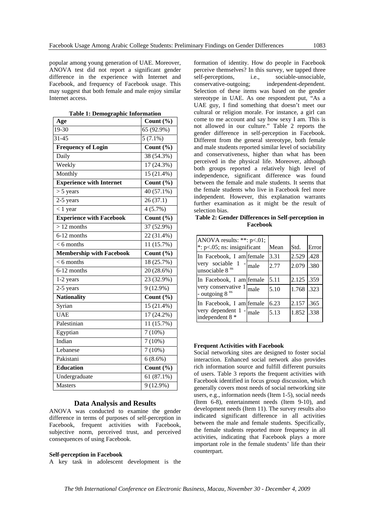popular among young generation of UAE. Moreover, ANOVA test did not report a significant gender difference in the experience with Internet and Facebook, and frequency of Facebook usage. This may suggest that both female and male enjoy similar Internet access.

| Age                             | Count (%)                        |
|---------------------------------|----------------------------------|
| $19-30$                         | 65 (92.9%)                       |
| $31 - 45$                       | $5(7.1\%)$                       |
| <b>Frequency of Login</b>       | Count $\overline{(\frac{0}{0})}$ |
| Daily                           | 38 (54.3%)                       |
| Weekly                          | 17 (24.3%)                       |
| Monthly                         | 15 (21.4%)                       |
| <b>Experience with Internet</b> | Count $(\% )$                    |
| $> 5$ years                     | 40 (57.1%)                       |
| 2-5 years                       | 26(37.1)                         |
| $< 1$ year                      | $4(5.7\%)$                       |
| <b>Experience with Facebook</b> | Count $(\% )$                    |
| $> 12$ months                   | $\overline{37(52.9)}$ %)         |
| 6-12 months                     | 22 (31.4%)                       |
| $< 6$ months                    | 11 (15.7%)                       |
| <b>Membership with Facebook</b> | Count $(\% )$                    |
| $< 6$ months                    | 18 (25.7%)                       |
| 6-12 months                     | 20 (28.6%)                       |
| 1-2 years                       | 23 (32.9%)                       |
| 2-5 years                       | $9(12.9\%)$                      |
| <b>Nationality</b>              | Count $(\% )$                    |
| Syrian                          | 15 (21.4%)                       |
| <b>UAE</b>                      | $17(24.2\%)$                     |
| Palestinian                     | 11 (15.7%)                       |
| Egyptian                        | $7(10\%)$                        |
| Indian                          | 7(10%)                           |
| Lebanese                        | 7(10%)                           |
| Pakistani                       | $6(8.6\%)$                       |
| <b>Education</b>                | Count (%)                        |
| Undergraduate                   | 61(87.1%)                        |
| <b>Masters</b>                  | $9(12.9\%)$                      |
|                                 |                                  |

**Table 1: Demographic Information** 

## **Data Analysis and Results**

ANOVA was conducted to examine the gender difference in terms of purposes of self-perception in Facebook, frequent activities with Facebook, subjective norm, perceived trust, and perceived consequences of using Facebook.

#### **Self-perception in Facebook**

A key task in adolescent development is the

formation of identity. How do people in Facebook perceive themselves? In this survey, we tapped three self-perceptions, i.e., sociable-unsociable, conservative-outgoing; independent-dependent. Selection of these items was based on the gender stereotype in UAE. As one respondent put, "As a UAE guy, I find something that doesn't meet our cultural or religion morale. For instance, a girl can come to me account and say how sexy I am. This is not allowed in our culture." Table 2 reports the gender difference in self-perception in Facebook. Different from the general stereotype, both female and male students reported similar level of sociability and conservativeness, higher than what has been perceived in the physical life. Moreover, although both groups reported a relatively high level of independence, significant difference was found between the female and male students. It seems that the female students who live in Facebook feel more independent. However, this explanation warrants further examination as it might be the result of selection bias.

**Table 2: Gender Differences in Self-perception in Facebook** 

| ANOVA results: $**: p<.01$ ;<br>$*$ : p<.05; ns: insignificant | Mean | Std.        | Error |
|----------------------------------------------------------------|------|-------------|-------|
| In Facebook, I am female                                       | 3.31 | 2.529 1.428 |       |
| very sociable $1 -  $ male<br>unsociable 8 <sup>ns</sup>       | 2.77 | 2.079 .380  |       |
| In Facebook, I am female                                       | 5.11 | 2.125 .359  |       |
| very conservative $1_{\text{male}}$<br>- outgoing $8^{ns}$     | 5.10 | 1.768 .323  |       |
| In Facebook, I am female                                       | 6.23 | 2.157 .365  |       |
| very dependent $1 -  $ male<br>independent 8 *                 | 5.13 | 1.852 .338  |       |

#### **Frequent Activities with Facebook**

Social networking sites are designed to foster social interaction. Enhanced social network also provides rich information source and fulfill different pursuits of users. Table 3 reports the frequent activities with Facebook identified in focus group discussion, which generally covers most needs of social networking site users, e.g., information needs (Item 1-5), social needs (Item 6-8), entertainment needs (Item 9-10), and development needs (Item 11). The survey results also indicated significant difference in all activities between the male and female students. Specifically, the female students reported more frequency in all activities, indicating that Facebook plays a more important role in the female students' life than their counterpart.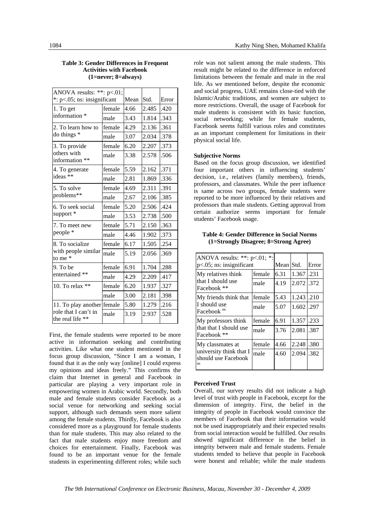| ANOVA results: **: $p<.01$ ;                        |        |      |       |       |
|-----------------------------------------------------|--------|------|-------|-------|
| $*$ : $p<0.05$ ; ns: insignificant                  |        | Mean | Std.  | Error |
| 1. To get<br>information *                          | female | 4.66 | 2.485 | .420  |
|                                                     | male   | 3.43 | 1.814 | .343  |
| 2. To learn how to<br>$\frac{1}{2}$ do things $*$   | female | 4.29 | 2.136 | .361  |
|                                                     | male   | 3.07 | 2.034 | .378  |
| 3. To provide                                       | female | 6.20 | 2.207 | .373  |
| others with<br>information **                       | male   | 3.38 | 2.578 | .506  |
| 4. To generate                                      | female | 5.59 | 2.162 | .371  |
| ideas **                                            | male   | 2.81 | 1.869 | .336  |
| 5. To solve                                         | female | 4.69 | 2.311 | .391  |
| problems**                                          | male   | 2.67 | 2.106 | .385  |
| 6. To seek social                                   | female | 5.20 | 2.506 | .424  |
| support*                                            | male   | 3.53 | 2.738 | .500  |
| 7. To meet new                                      | female | 5.71 | 2.150 | .363  |
| people *                                            | male   | 4.46 | 1.902 | .373  |
| 8. To socialize<br>with people similar<br>to me $*$ | female | 6.17 | 1.505 | .254  |
|                                                     | male   | 5.19 | 2.056 | .369  |
| 9. To be<br>entertained **                          | female | 6.91 | 1.704 | .288  |
|                                                     | male   | 4.29 | 2.209 | .417  |
| 10. To relax **                                     | female | 6.20 | 1.937 | .327  |
|                                                     | male   | 3.00 | 2.181 | .398  |
| 11. To play another female                          |        | 5.80 | 1.279 | .216  |
| role that I can't in<br>the real life **            | male   | 3.19 | 2.937 | .528  |

### **Table 3: Gender Differences in Frequent Activities with Facebook (1=never; 8=always)**

First, the female students were reported to be more active in information seeking and contributing activities. Like what one student mentioned in the focus group discussion, "Since I am a woman, I found that it as the only way [online] I could express my opinions and ideas freely." This confirms the claim that Internet in general and Facebook in particular are playing a very important role in empowering women in Arabic world. Secondly, both male and female students consider Facebook as a social venue for networking and seeking social support, although such demands seem more salient among the female students. Thirdly, Facebook is also considered more as a playground for female students than for male students. This may also related to the fact that male students enjoy more freedom and choices for entertainment. Finally, Facebook was found to be an important venue for the female students in experimenting different roles; while such

role was not salient among the male students. This result might be related to the difference in enforced limitations between the female and male in the real life. As we mentioned before, despite the economic and social progress, UAE remains close-tied with the Islamic/Arabic traditions, and women are subject to more restrictions. Overall, the usage of Facebook for male students is consistent with its basic function, social networking; while for female students, Facebook seems fulfill various roles and constitutes as an important complement for limitations in their physical social life.

## **Subjective Norms**

Based on the focus group discussion, we identified four important others in influencing students' decision, i.e., relatives (family members), friends, professors, and classmates. While the peer influence is same across two groups, female students were reported to be more influenced by their relatives and professors than male students. Getting approval from certain authorize seems important for female students' Facebook usage.

**Table 4: Gender Difference in Social Norms (1=Strongly Disagree; 8=Strong Agree)** 

| ANOVA results: **: $p<.01$ ; *:<br>$p<0.05$ ; ns: insignificant          |        | Mean Std. |            | Error |
|--------------------------------------------------------------------------|--------|-----------|------------|-------|
| My relatives think                                                       | female | 6.31      | 1.367 .231 |       |
| that I should use<br>Facebook **                                         | male   | 4.19      | 2.072 .372 |       |
| My friends think that<br>I should use<br>Facebook <sup>ns</sup>          | female | 5.43      | 1.243      | .210  |
|                                                                          | male   | 5.07      | 1.602 .297 |       |
| My professors think<br>that that I should use<br>Facebook **             | female | 6.91      | 1.357      | .233  |
|                                                                          | male   | 3.76      | 2.081      | .387  |
| My classmates at<br>university think that I<br>should use Facebook<br>ns | female | 4.66      | 2.248      | .380  |
|                                                                          | male   | 4.60      | 2.094      | .382  |

## **Perceived Trust**

Overall, our survey results did not indicate a high level of trust with people in Facebook, except for the dimension of integrity. First, the belief in the integrity of people in Facebook would convince the members of Facebook that their information would not be used inappropriately and their expected results from social interaction would be fulfilled. Our results showed significant difference in the belief in integrity between male and female students. Female students tended to believe that people in Facebook were honest and reliable; while the male students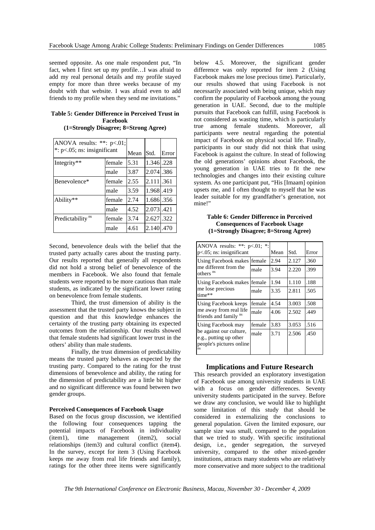seemed opposite. As one male respondent put, "In fact, when I first set up my profile…I was afraid to add my real personal details and my profile stayed empty for more than three weeks because of my doubt with that website. I was afraid even to add friends to my profile when they send me invitations."

## **Table 5: Gender Difference in Perceived Trust in Facebook (1=Strongly Disagree; 8=Strong Agree)**

 $APONA = 16$  \*\*: p(1)

| ANOVA results: **: $p<.01$ ;<br>$*$ : p<.05; ns: insignificant |        | Mean | Std.       | Error |
|----------------------------------------------------------------|--------|------|------------|-------|
| Integrity**                                                    | female | 5.31 | 1.346 .228 |       |
|                                                                | male   | 3.87 | 2.074 386  |       |
| Benevolence*                                                   | female | 2.55 | 2.111.361  |       |
|                                                                | male   | 3.59 | 1.968 .419 |       |
| Ability**                                                      | female | 2.74 | 1.686.356  |       |
|                                                                | male   | 4.52 | 2.073.421  |       |
| Predictability <sup>ns</sup>                                   | female | 3.74 | 2.627.322  |       |
|                                                                | male   | 4.61 | 2.140.470  |       |

Second, benevolence deals with the belief that the trusted party actually cares about the trusting party. Our results reported that generally all respondents did not hold a strong belief of benevolence of the members in Facebook. We also found that female students were reported to be more cautious than male students, as indicated by the significant lower rating on benevolence from female students.

Third, the trust dimension of ability is the assessment that the trusted party knows the subject in question and that this knowledge enhances the certainty of the trusting party obtaining its expected outcomes from the relationship. Our results showed that female students had significant lower trust in the others' ability than male students.

Finally, the trust dimension of predictability means the trusted party behaves as expected by the trusting party. Compared to the rating for the trust dimensions of benevolence and ability, the rating for the dimension of predictability are a little bit higher and no significant difference was found between two gender groups.

#### **Perceived Consequences of Facebook Usage**

Based on the focus group discussion, we identified the following four consequences tapping the potential impacts of Facebook in individuality (item1), time management (item2), social relationships (item3) and cultural conflict (item4). In the survey, except for item 3 (Using Facebook keeps me away from real life friends and family), ratings for the other three items were significantly

below 4.5. Moreover, the significant gender difference was only reported for item 2 (Using Facebook makes me lose precious time). Particularly, our results showed that using Facebook is not necessarily associated with being unique, which may confirm the popularity of Facebook among the young generation in UAE. Second, due to the multiple pursuits that Facebook can fulfill, using Facebook is not considered as wasting time, which is particularly true among female students. Moreover, all participants were neutral regarding the potential impact of Facebook on physical social life. Finally, participants in our study did not think that using Facebook is against the culture. In stead of following the old generations' opinions about Facebook, the young generation in UAE tries to fit the new technologies and changes into their existing culture system. As one participant put, "His [Imaam] opinion upsets me, and I often thought to myself that he was leader suitable for my grandfather's generation, not mine!"

## **Table 6: Gender Difference in Perceived Consequences of Facebook Usage (1=Strongly Disagree; 8=Strong Agree)**

| ANOVA results: **: $p<01$ ;<br>$\ast\cdot$<br>$p<0.05$ ; ns: insignificant                                |        | Mean | Std.  | Error |
|-----------------------------------------------------------------------------------------------------------|--------|------|-------|-------|
| Using Facebook makes female<br>me different from the<br>others <sup>ns</sup>                              |        | 2.94 | 2.127 | .360  |
|                                                                                                           | male   | 3.94 | 2.220 | .399  |
| Using Facebook makes female<br>me lose precious<br>time**                                                 |        | 1.94 | 1.110 | .188  |
|                                                                                                           | male   | 3.35 | 2.811 | .505  |
| Using Facebook keeps<br>me away from real life<br>friends and family ns                                   | female | 4.54 | 3.003 | .508  |
|                                                                                                           | male   | 4.06 | 2.502 | .449  |
| Using Facebook may<br>be against our culture,<br>e.g., putting up other<br>people's pictures online<br>ns | female | 3.83 | 3.053 | .516  |
|                                                                                                           | male   | 3.71 | 2.506 | .450  |

#### **Implications and Future Research**

This research provided an exploratory investigation of Facebook use among university students in UAE with a focus on gender differences. Seventy university students participated in the survey. Before we draw any conclusion, we would like to highlight some limitation of this study that should be considered in externalizing the conclusions to general population. Given the limited exposure, our sample size was small, compared to the population that we tried to study. With specific institutional design, i.e., gender segregation, the surveyed university, compared to the other mixed-gender institutions, attracts many students who are relatively more conservative and more subject to the traditional

*The 9th International Conference on Electronic Business, Macau, November 30 - December 4, 2009*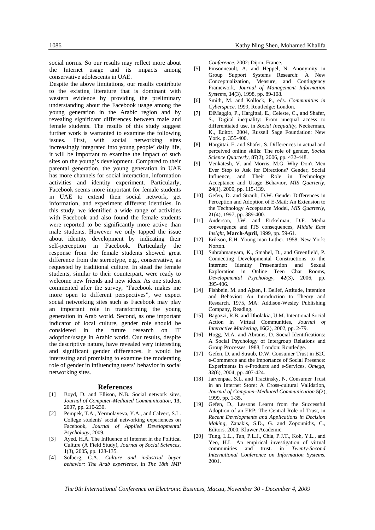social norms. So our results may reflect more about the Internet usage and its impacts among conservative adolescents in UAE.

Despite the above limitations, our results contribute to the existing literature that is dominant with western evidence by providing the preliminary understanding about the Facebook usage among the young generation in the Arabic region and by revealing significant differences between male and female students. The results of this study suggest further work is warranted to examine the following issues. First, with social networking sites increasingly integrated into young people' daily life, it will be important to examine the impact of such sites on the young's development. Compared to their parental generation, the young generation in UAE has more channels for social interaction, information activities and identity experiment. Particularly, Facebook seems more important for female students in UAE to extend their social network, get information, and experiment different identities. In this study, we identified a wide range of activities with Facebook and also found the female students were reported to be significantly more active than male students. However we only tapped the issue about identity development by indicating their self-perception in Facebook. Particularly the response from the female students showed great difference from the stereotype, e.g., conservative, as requested by traditional culture. In stead the female students, similar to their counterpart, were ready to welcome new friends and new ideas. As one student commented after the survey, "Facebook makes me more open to different perspectives", we expect social networking sites such as Facebook may play an important role in transforming the young generation in Arab world. Second, as one important indicator of local culture, gender role should be considered in the future research on IT adoption/usage in Arabic world. Our results, despite the descriptive nature, have revealed very interesting and significant gender differences. It would be interesting and promising to examine the moderating role of gender in influencing users' behavior in social networking sites.

#### **References**

- [1] Boyd, D. and Ellison, N.B. Social network sites, *Journal of Computer-Mediated Communication*, **13**, 2007, pp. 210-230.
- [2] Pempek, T.A., Yermolayeva, Y.A., and Calvert, S.L. College students' social networking experiences on Facebook, *Journal of Applied Developmental Psychology*, 2009.
- [3] Ayed, H.A. The Influence of Internet in the Political Culture (A Field Study), *Journal of Social Sciences*, **1**(3), 2005, pp. 128-135.
- [4] Solberg, C.A., *Culture and industrial buyer behavior: The Arab experience*, in *The 18th IMP*

*Conference*. 2002: Dijon, France.

- [5] Pinsonneault, A. and Heppel, N. Anonymity in Group Support Systems Research: A New Conceptualization, Measure, and Contingency Framework, *Journal of Management Information Systems*, **14**(3), 1998, pp. 89-108.
- [6] Smith, M. and Kollock, P., eds. *Communities in Cyberspace*. 1999, Routledge: London.
- [7] DiMaggio, P., Hargittai, E., Celeste, C., and Shafer, S., Digital inequality: From unequal access to differentiated use, in *Social Inequality*, Neckerman, K., Editor. 2004, Russell Sage Foundation: New York. p. 355-400.
- [8] Hargittai, E. and Shafer, S. Differences in actual and perceived online skills: The role of gender, *Social Science Quarterly*, **87**(2), 2006, pp. 432-448.
- [9] Venkatesh, V. and Morris, M.G. Why Don't Men Ever Stop to Ask for Directions? Gender, Social Influence, and Their Role in Technology Acceptance and Usage Behavior, *MIS Quarterly*, **24**(1), 2000, pp. 115-139.
- [10] Gefen, D. and Straub, D.W. Gender Differences in Perception and Adoption of E-Mail: An Extension to the Technology Acceptance Model, *MIS Quarterly*, **21**(4), 1997, pp. 389-400.
- [11] Anderson, J.W. and Eickelman, D.F. Media convergence and ITS consequences, *Middle East Insight*, **March-April**, 1999, pp. 59-61.
- [12] Erikson, E.H. Young man Luther. 1958, New York: Norton.
- [13] Subrahmanyam, K., Smahel, D., and Greenfield, P. Connecting Developmental Constructions to the Internet: Identity Presentation and Sexual Exploration in Online Teen Chat Rooms, *Developmental Psychology*, **42**(3), 2006, pp. 395-406.
- [14] Fishbein, M. and Ajzen, I. Belief, Attitude, Intention and Behavior: An Introduction to Theory and Research. 1975, MA: Addison-Wesley Publishing Company, Reading.
- [15] Bagozzi, R.B. and Dholakia, U.M. Intentional Social Action in Virtual Communities, *Journal of Interactive Marketing*, **16**(2), 2002, pp. 2-79.
- [16] Hogg, M.A. and Abrams, D. Social Identifications: A Social Psychology of Intergroup Relations and Group Processes. 1988, London: Routledge.
- [17] Gefen, D. and Straub, D.W. Consumer Trust in B2C e-Commerce and the Importance of Social Presence: Experiments in e-Products and e-Services, *Omega*, **32**(6), 2004, pp. 407-424.
- [18] Jarvenpaa, S.L. and Tractinsky, N. Consumer Trust in an Internet Store: A Cross-cultural Validation, *Journal of Computer-Mediated Communication* **5**(2), 1999, pp. 1-35.
- [19] Gefen, D., Lessons Learnt from the Successful Adoption of an ERP: The Central Role of Trust, in *Recent Developments and Applications in Decision Making*, Zanakis, S.D., G. and Zopounidis, C., Editors. 2000, Kluwer Academic.
- [20] Tung, L.L., Tan, P.L.J., Chia, P.J.T., Koh, Y.L., and Yeo, H.L. An empirical investigation of virtual communities and trust. in *Twenty-Second International Conference on Information Systems*. 2001.

*The 9th International Conference on Electronic Business, Macau, November 30 - December 4, 2009*